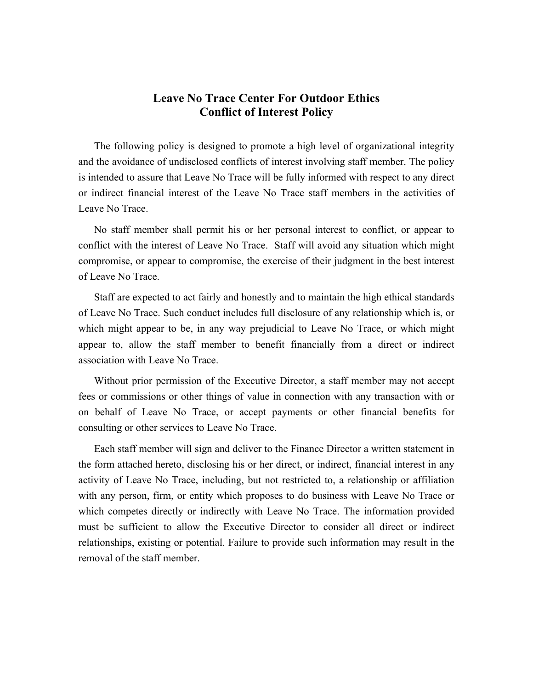## **Leave No Trace Center For Outdoor Ethics Conflict of Interest Policy**

The following policy is designed to promote a high level of organizational integrity and the avoidance of undisclosed conflicts of interest involving staff member. The policy is intended to assure that Leave No Trace will be fully informed with respect to any direct or indirect financial interest of the Leave No Trace staff members in the activities of Leave No Trace.

No staff member shall permit his or her personal interest to conflict, or appear to conflict with the interest of Leave No Trace. Staff will avoid any situation which might compromise, or appear to compromise, the exercise of their judgment in the best interest of Leave No Trace.

Staff are expected to act fairly and honestly and to maintain the high ethical standards of Leave No Trace. Such conduct includes full disclosure of any relationship which is, or which might appear to be, in any way prejudicial to Leave No Trace, or which might appear to, allow the staff member to benefit financially from a direct or indirect association with Leave No Trace.

Without prior permission of the Executive Director, a staff member may not accept fees or commissions or other things of value in connection with any transaction with or on behalf of Leave No Trace, or accept payments or other financial benefits for consulting or other services to Leave No Trace.

Each staff member will sign and deliver to the Finance Director a written statement in the form attached hereto, disclosing his or her direct, or indirect, financial interest in any activity of Leave No Trace, including, but not restricted to, a relationship or affiliation with any person, firm, or entity which proposes to do business with Leave No Trace or which competes directly or indirectly with Leave No Trace. The information provided must be sufficient to allow the Executive Director to consider all direct or indirect relationships, existing or potential. Failure to provide such information may result in the removal of the staff member.